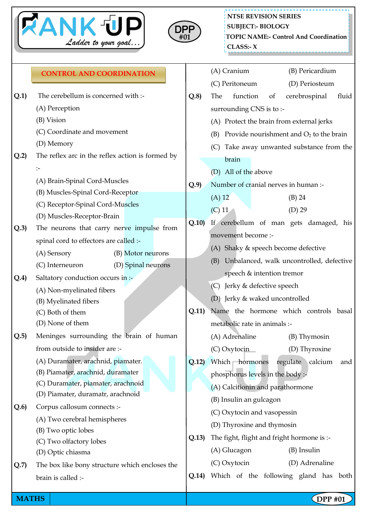



## **Q.1)** The cerebellum is concerned with :- (A) Perception (B) Vision (C) Coordinate and movement (D) Memory **Q.2)** The reflex arc in the reflex action is formed by :- (A) Brain-Spinal Cord-Muscles (B) Muscles-Spinal Cord-Receptor (C) Receptor-Spinal Cord-Muscles (D) Muscles-Receptor-Brain **Q.3)** The neurons that carry nerve impulse from spinal cord to effectors are called :- (A) Sensory (B) Motor neurons (C) Interneuron (D) Spinal neurons **Q.4)** Saltatory conduction occurs in :- (A) Non-myelinated fibers (B) Myelinated fibers (C) Both of them (D) None of them **Q.5)** Meninges surrounding the brain of human from outside to insider are :- (A) Duramater, arachnid, piamater. (B) Piamater, arachnid, duramater (C) Duramater, piamater, arachnoid (D) Piamater, duramatr, arachnoid **Q.6)** Corpus callosum connects :- (A) Two cerebral hemispheres (B) Two optic lobes (C) Two olfactory lobes (D) Optic chiasma **Q.7)** The box like bony structure which encloses the brain is called :- (A) Cranium (B) Pericardium (C) Peritoneum (D) Periosteum **Q.8)** The function of cerebrospinal fluid surrounding CNS is to :- (A) Protect the brain from external jerks (B) Provide nourishment and  $O<sub>2</sub>$  to the brain (C) Take away unwanted substance from the brain (D) All of the above **Q.9)** Number of cranial nerves in human :-  $(A) 12$  (B) 24 (C) 11 (D) 29 **Q.10)** If cerebellum of man gets damaged, his movement become :- (A) Shaky & speech become defective (B) Unbalanced, walk uncontrolled, defective speech & intention tremor (C) Jerky & defective speech (D) Jerky & waked uncontrolled **Q.11)** Name the hormone which controls basal metabolic rate in animals :- (A) Adrenaline (B) Thymosin (C) Oxytocin (D) Thyroxine **Q.12)** Which hormones regulate calcium and phosphorus levels in the body :- (A) Calcitionin and parathormone (B) Insulin an gulcagon (C) Oxytocin and vasopessin (D) Thyroxine and thymosin **Q.13)** The fight, flight and fright hormone is :- (A) Glucagon (B) Insulin (C) Oxytocin (D) Adrenaline **Q.14)** Which of the following gland has both **CONTROL AND COORDINATION**

**MATHS** | **DPP #01**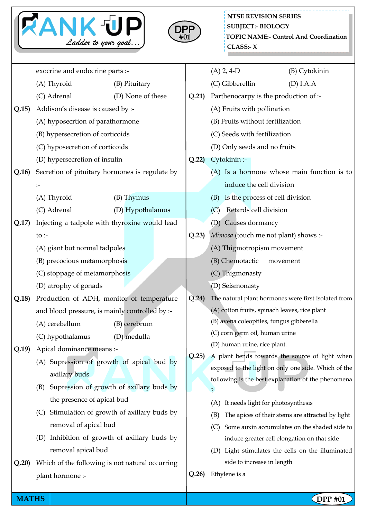



|       | exocrine and endocrine parts :-                                                 |                   |  |       | $(A)$ 2, 4-D                                                   | (B) Cytokinin                                       |  |
|-------|---------------------------------------------------------------------------------|-------------------|--|-------|----------------------------------------------------------------|-----------------------------------------------------|--|
|       | (A) Thyroid                                                                     | (B) Pituitary     |  |       | (C) Gibberellin                                                | (D) I.A.A                                           |  |
|       | (C) Adrenal                                                                     | (D) None of these |  |       | Parthenocarpy is the production of :-                          |                                                     |  |
| Q.15) | Addison's disease is caused by :-                                               |                   |  |       | (A) Fruits with pollination                                    |                                                     |  |
|       | (A) hyposecrtion of parathormone                                                |                   |  |       | (B) Fruits without fertilization                               |                                                     |  |
|       | (B) hypersecretion of corticoids                                                |                   |  |       | (C) Seeds with fertilization                                   |                                                     |  |
|       | (C) hyposecretion of corticoids                                                 |                   |  |       | (D) Only seeds and no fruits                                   |                                                     |  |
|       | (D) hypersecretion of insulin<br>Secretion of pituitary hormones is regulate by |                   |  | Q.22  | Cytokinin :-                                                   |                                                     |  |
| Q.16) |                                                                                 |                   |  |       |                                                                | (A) Is a hormone whose main function is to          |  |
|       | $\mathrel{\mathop:}=$                                                           |                   |  |       | induce the cell division                                       |                                                     |  |
|       | (A) Thyroid                                                                     | (B) Thymus        |  |       | Is the process of cell division<br>(B)                         |                                                     |  |
|       | (C) Adrenal                                                                     | (D) Hypothalamus  |  |       | Retards cell division<br>(C)                                   |                                                     |  |
| Q.17) | Injecting a tadpole with thyroxine would lead                                   |                   |  |       | (D) Causes dormancy                                            |                                                     |  |
|       | to $\mathbf{r}$                                                                 |                   |  | Q.23  | Mimosa (touch me not plant) shows :-                           |                                                     |  |
|       | (A) giant but normal tadpoles                                                   |                   |  |       | (A) Thigmotropism movement                                     |                                                     |  |
|       | (B) precocious metamorphosis<br>(C) stoppage of metamorphosis                   |                   |  |       | (B) Chemotactic                                                | movement                                            |  |
|       |                                                                                 |                   |  |       | (C) Thigmonasty                                                |                                                     |  |
|       | (D) atrophy of gonads                                                           |                   |  |       | (D) Seismonasty                                                |                                                     |  |
| Q.18) | Production of ADH, monitor of temperature                                       |                   |  | Q.24) |                                                                | The natural plant hormones were first isolated from |  |
|       | and blood pressure, is mainly controlled by :-                                  |                   |  |       | (A) cotton fruits, spinach leaves, rice plant                  |                                                     |  |
|       | (A) cerebellum<br>(B) cerebrum                                                  |                   |  |       | (B) avena coleoptiles, fungus gibberella                       |                                                     |  |
|       | (C) hypothalamus                                                                | (D) medulla       |  |       | (C) corn germ oil, human urine<br>(D) human urine, rice plant. |                                                     |  |
| Q.19) | Apical dominance means :-                                                       |                   |  | Q.25  |                                                                | A plant bends towards the source of light when      |  |
|       | (A) Supression of growth of apical bud by                                       |                   |  |       |                                                                | exposed to the light on only one side. Which of the |  |
|       | axillary buds                                                                   |                   |  |       |                                                                | following is the best explanation of the phenomena  |  |
|       | Supression of growth of axillary buds by<br>(B)                                 |                   |  |       |                                                                |                                                     |  |
|       | the presence of apical bud                                                      |                   |  |       | (A) It needs light for photosynthesis                          |                                                     |  |
|       | Stimulation of growth of axillary buds by<br>(C)                                |                   |  |       | (B)                                                            | The apices of their stems are attracted by light    |  |
|       | removal of apical bud                                                           |                   |  |       | (C)                                                            | Some auxin accumulates on the shaded side to        |  |
|       | (D) Inhibition of growth of axillary buds by                                    |                   |  |       |                                                                | induce greater cell elongation on that side         |  |
|       | removal apical bud                                                              |                   |  |       | (D)                                                            | Light stimulates the cells on the illuminated       |  |
| Q.20) | Which of the following is not natural occurring                                 |                   |  | Q.26  | side to increase in length<br>Ethylene is a                    |                                                     |  |
|       | plant hormone :-                                                                |                   |  |       |                                                                |                                                     |  |

**MATHS** DPP #01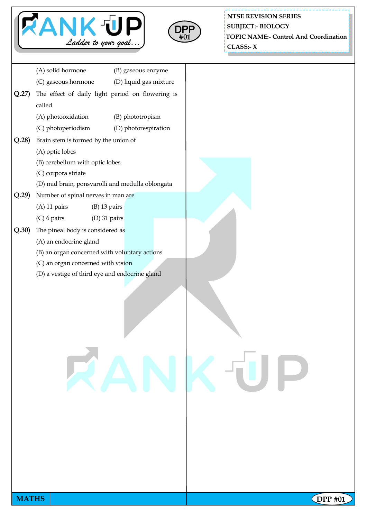



**NTSE REVISION SERIES TOPIC NAME:- Control And Coordination CLASS:- X SUBJECT:- BIOLOGY**

| Q.27  | (A) solid hormone<br>(C) gaseous hormone         | (B) gaseous enzyme     |  |
|-------|--------------------------------------------------|------------------------|--|
|       |                                                  |                        |  |
|       |                                                  | (D) liquid gas mixture |  |
|       | The effect of daily light period on flowering is |                        |  |
|       | called                                           |                        |  |
|       | (A) photooxidation                               | (B) phototropism       |  |
|       | (C) photoperiodism                               | (D) photorespiration   |  |
| Q.28  | Brain stem is formed by the union of             |                        |  |
|       | (A) optic lobes                                  |                        |  |
|       | (B) cerebellum with optic lobes                  |                        |  |
|       | (C) corpora striate                              |                        |  |
|       | (D) mid brain, ponsvarolli and medulla oblongata |                        |  |
| Q.29  | Number of spinal nerves in man are               |                        |  |
|       | $(A)$ 11 pairs<br>$(B)$ 13 pairs                 |                        |  |
|       | $(C)$ 6 pairs<br>$(D)$ 31 pairs                  |                        |  |
| Q.30) | The pineal body is considered as                 |                        |  |
|       | (A) an endocrine gland                           |                        |  |
|       | (B) an organ concerned with voluntary actions    |                        |  |
|       | (C) an organ concerned with vision               |                        |  |
|       | (D) a vestige of third eye and endocrine gland   |                        |  |
|       |                                                  | RANKUI                 |  |